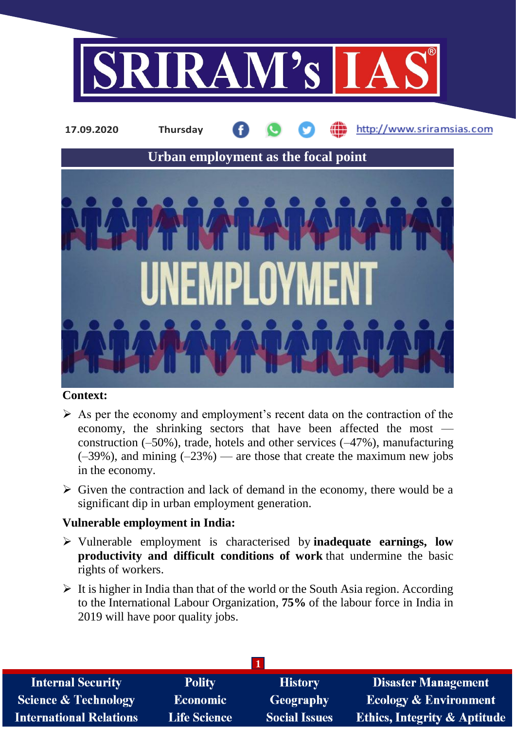



## **Context:**

- $\triangleright$  As per the economy and employment's recent data on the contraction of the economy, the shrinking sectors that have been affected the most construction (–50%), trade, hotels and other services (–47%), manufacturing  $(-39\%)$ , and mining  $(-23\%)$  — are those that create the maximum new jobs in the economy.
- $\triangleright$  Given the contraction and lack of demand in the economy, there would be a significant dip in urban employment generation.

## **Vulnerable employment in India:**

- Vulnerable employment is characterised by **inadequate earnings, low productivity and difficult conditions of work** that undermine the basic rights of workers.
- $\triangleright$  It is higher in India than that of the world or the South Asia region. According to the International Labour Organization, **75%** of the labour force in India in 2019 will have poor quality jobs.

| <b>Internal Security</b>        | <b>Polity</b>       | <b>History</b>       | <b>Disaster Management</b>              |  |  |
|---------------------------------|---------------------|----------------------|-----------------------------------------|--|--|
| <b>Science &amp; Technology</b> | <b>Economic</b>     | Geography            | <b>Ecology &amp; Environment</b>        |  |  |
| <b>International Relations</b>  | <b>Life Science</b> | <b>Social Issues</b> | <b>Ethics, Integrity &amp; Aptitude</b> |  |  |